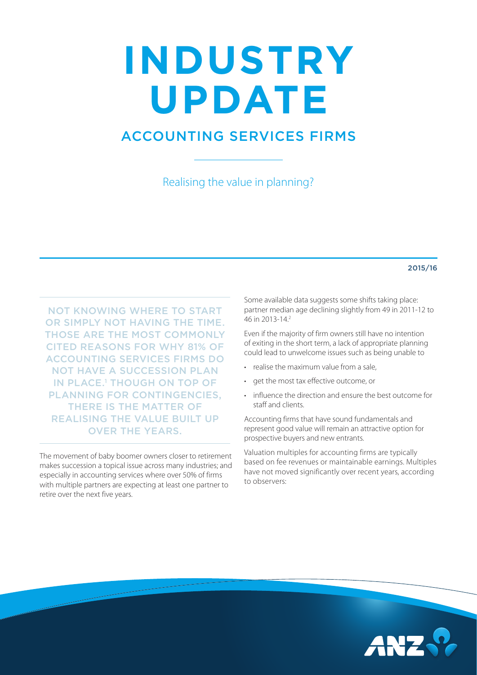## **INDUSTRY UPDATE**

## ACCOUNTING SERVICES FIRMS

Realising the value in planning?

## 2015/16

NOT KNOWING WHERE TO START OR SIMPLY NOT HAVING THE TIME. THOSE ARE THE MOST COMMONLY CITED REASONS FOR WHY 81% OF ACCOUNTING SERVICES FIRMS DO NOT HAVE A SUCCESSION PLAN IN PLACE.<sup>1</sup> THOUGH ON TOP OF PLANNING FOR CONTINGENCIES, THERE IS THE MATTER OF REALISING THE VALUE BUILT UP OVER THE YEARS.

The movement of baby boomer owners closer to retirement makes succession a topical issue across many industries; and especially in accounting services where over 50% of firms with multiple partners are expecting at least one partner to retire over the next five years.

Some available data suggests some shifts taking place: partner median age declining slightly from 49 in 2011-12 to 46 in 2013-14.2

Even if the majority of firm owners still have no intention of exiting in the short term, a lack of appropriate planning could lead to unwelcome issues such as being unable to

- realise the maximum value from a sale,
- get the most tax effective outcome, or
- influence the direction and ensure the best outcome for staff and clients.

Accounting firms that have sound fundamentals and represent good value will remain an attractive option for prospective buyers and new entrants.

Valuation multiples for accounting firms are typically based on fee revenues or maintainable earnings. Multiples have not moved significantly over recent years, according to observers: